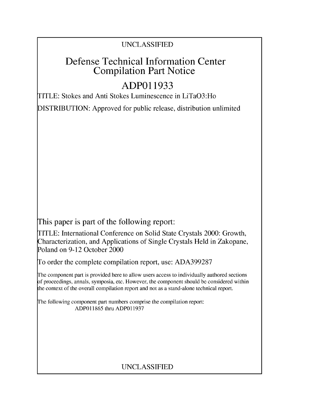### UNCLASSIFIED

## Defense Technical Information Center Compilation Part Notice

# **ADPO1 1933**

TITLE: Stokes and Anti Stokes Luminescence in LiTaO3:Ho

DISTRIBUTION: Approved for public release, distribution unlimited

This paper is part of the following report:

TITLE: International Conference on Solid State Crystals 2000: Growth, Characterization, and Applications of Single Crystals Held in Zakopane, Poland on 9-12 October 2000

To order the complete compilation report, use: ADA399287

The component part is provided here to allow users access to individually authored sections f proceedings, annals, symposia, etc. However, the component should be considered within [he context of the overall compilation report and not as a stand-alone technical report.

The following component part numbers comprise the compilation report: ADP011865 thru ADP011937

## UNCLASSIFIED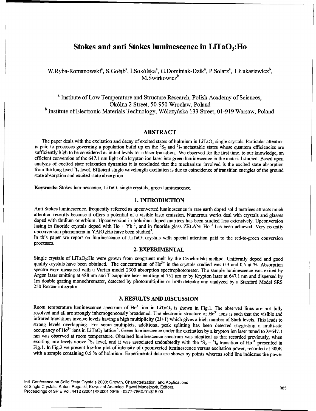### Stokes and anti Stokes luminescence in  $LiTaO_3$ : Ho

W.Ryba-Romanowski<sup>a</sup>, S.Gołąb<sup>a</sup>, I.Sokólska<sup>a</sup>, G.Dominiak-Dzik<sup>a</sup>, P.Solarz<sup>a</sup>, T.Łukasiewicz<sup>b</sup>, M. Świrkowicz<sup>b</sup>

a Institute of Low Temperature and Structure Research, Polish Academy of Sciences, Ok6lna 2 Street, 50-950 Wroclaw, Poland **<sup>b</sup>**Institute of Electronic Materials Technology, W61czyfiska 133 Street, 01-919 Warsaw, Poland

#### ABSTRACT

The paper deals with the excitation and decay of excited states of holmium in LiTaO<sub>3</sub> single crystals. Particular attention is paid to processes governing a population build up on the  ${}^{5}S_2$  and  ${}^{5}I_7$  metastable states whose quantum efficiencies are sufficiently high to be considered as initial levels for a laser transition. We observed for the first time, to our knowledge, an efficient conversion of the 647.1 nm light of a krypton ion laser into green luminescence in the material studied. Based upon analysis of excited state relaxation dynamics it is concluded that the mechanism involved is the excited state absorption<br>from the long lived  ${}^{5}I_7$  level. Efficient single wavelength excitation is due to coincidence o state absorption and excited state absorption.

Keywords: Stokes luminescence, LiTaO<sub>3</sub> single crystals, green luminescence.

#### 1. **INTRODUCTION**

Anti Stokes luminescence, frequently referred as upconverted luminescence in rare earth doped solid matrices attracts much attention recently because it offers a potential of a visible laser emission. Numerous works deal with crystals and glasses doped with thulium or erbium. Upconversion in holmium doped matrices has been studied less extensively. Upconversion lasing in fluoride crystals doped with Ho + Yb **1,** and in fluoride glass ZBLAN: Ho 2 has been achieved. Very recently upconversion phenomena in YAIO<sub>3</sub>:Ho have been studied<sup>3</sup>.<br>In this paper we report on luminescence of LiTaO<sub>3</sub> crystals with special attention paid to the red-to-green conversion

processes.

#### 2. **EXPERIMENTAL**

Single crystals of LiTaO3:Ho were grown from congruent melt by the Czochralski method. Uniformly doped and good quality crystals have been obtained. The concentration of Ho<sup>3+</sup> in the crystals studied was 0.3 and 0.5 at %. Absorption spectra were measured with a Varian model 2300 absorption spectrophotometer. The sample luminescence Argon laser emitting at 488 nm and Ti:sapphire laser emitting at 751 nm or by Krypton laser at 647.1 nm and dispersed by 1m double grating monochromator, detected by photomultiplier or InSb detector and analyzed by a Stanf 250 Boxcar integrator.

#### **3. RESULTS AND DISCUSSION**

Room temperature luminescence spectrum of  $Ho^{3+}$  ion in LiTaO<sub>3</sub> is shown in Fig. 1. The observed lines are not fully resolved and all are strongly inhomogeneously broadened. The electronic structure of  $Ho^{3+}$  ions is resolved and all are strongly inhomogeneously broadened. The electronic structure of Ho<sup>3+</sup> ions is such that the visible and infrared transitions involve levels having a high multiplicity (2J+l) which gives a high number of Stark levels. This leads to strong levels overlapping. For some multiplets, additional peak splitting has been detected suggesting a multi-site occupancy of Ho<sup>3+</sup> ions in LiTaO<sub>3</sub> lattice <sup>4</sup>. Green luminescence under the excitation by a krypton ion laser tuned to  $\lambda$ =647.1 nm was observed at room temperature. Obtained luminescence spectrum was identical as that recorded previously, when exciting into levels above  ${}^5S_2$  level, and it was associated undoubtedly with the  ${}^2S_2 - {}^5I_8$  transition of Ho<sup>3+</sup> presented in Fig. I. In Fig.2 we present log-log plot of intensity of upconverted luminescence versus excitation power, recorded at 300K with a sample containing 0.5 % of holmium. Experimental data are shown by points whereas solid line indicates the power

Intl. Conference on Solid State Crystals 2000: Growth, Characterization, and Applications of Single Crystals, Antoni Rogaski, Krzysztof Adamiec, Pawel Madejczyk, Editors, 385 Proceedings of SPIE Vol. 4412 (2001) © 2001 SPIE **.** 0277-786X/01/\$15.00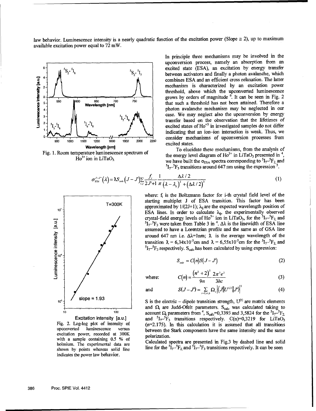law behavior. Luminescence intensity is a nearly quadratic function of the excitation power (Slope  $\approx$  2), up to maximum available excitation power equal to 72 mW.



Fig. 1. Room temperature luminescence spectrum of  $Ho<sup>3+</sup>$  ion in LiTaO<sub>3</sub>

In principle three mechanisms may be involved in the upconversion process, namely an absorption from an  ${}^{5}S_{2}$ <sup>5</sup> ${}^{5}I_{3}$   ${}^{5}S_{2}$ <sup>5</sup> ${}^{5}I_{2}$  excited state (ESA), an excitation by energy transfer between activators and finally a photon avalanche, which combines ESA and an efficient cross relaxation. The latter  $\begin{bmatrix} 1 \\ 1 \end{bmatrix}$  mechanism is characterized by an excitation power **-** threshold, above which the upconverted luminescence **0 5** " **W 50 jM -50 ... 70** ,grows by orders of magnitude **.** It can be seen in Fig. 2 **<sup>750</sup>** that such a threshold has not been attained. Therefore a 4- **photon avalanche mechanism may be neglected in our**  $\begin{bmatrix} 3 \\ 3 \end{bmatrix}$  **b**  $\begin{bmatrix} 5 \\ 1 \end{bmatrix}$ ,  $\begin{bmatrix} 5 \\ 1 \end{bmatrix}$   $\begin{bmatrix} 5 \\ 1 \end{bmatrix}$  case. We may neglect also the upconversion by energy transfer based on the observation that the lifetimes of excited states of Ho<sup>+3</sup> in investigated samples do not differ  $\frac{1}{1000}$   $\frac{1}{1200}$   $\frac{1}{1200}$   $\frac{1}{1600}$   $\frac{1}{1600}$   $\frac{1}{2000}$   $\frac{2000}{2000}$   $\frac{2}{2000}$   $\frac{1}{2000}$   $\frac{1}{2000}$   $\frac{1}{2000}$   $\frac{1}{2000}$   $\frac{1}{2000}$   $\frac{1}{2000}$   $\frac{1}{2000}$   $\frac{1}{2000}$   $\frac{1}{2000}$ 

> To elucidate these mechanisms, from the analysis of the energy level diagram of  $Ho^{3+}$  in LiTaO<sub>3</sub> presented in <sup>4</sup>,  $\text{Ho}^{3+}$  ion in LiTaO<sub>3</sub> we have built the  $\sigma_{\text{ESA}}$  spectra corresponding to  ${}^{5}I_{7-}{}^{5}F_{2}$  and  ${}^{5}I_{7}$ <sup>5</sup>F<sub>3</sub> transitions around 647 nm using the expression<sup>5</sup>.

$$
\sigma_{\scriptscriptstyle ESA}^{J-J}(\lambda) = \lambda S_{\scriptscriptstyle cak} \left(J-J'\right) \sum_{i,j} \frac{f_i}{2J+1} \frac{1}{\pi} \frac{\Delta \lambda/2}{\left(\lambda - \lambda_{ij}\right)^2 + \left(\Delta \lambda/2\right)^2} \tag{1}
$$



Excitation intensity [a.u.] excitation power, recorded at 300K polarization. with a sample containing  $0.5\%$  of shown by points whereas solid line indicates the power law behavior.

where: f<sub>i</sub> is the Boltzmann factor for i-th crystal field level of the  $T=300K$  starting multiplet J of ESA transition. This factor has been  $1=300K$  approximated by 1/(2J+1);  $\lambda_{ij}$  are the expected wavelength position of ESA lines. In order to calculate  $\lambda_{ij}$ , the experimentally observed crystal-field energy levels of  $Ho^{3+}$  ion in LiTaO<sub>3</sub>, for the  ${}^{5}I_{7}{}^{5}F_{2}$  and  $I_7$ <sup>-5</sup>F<sub>3</sub> were taken from Table 3 in <sup>4</sup>.  $\Delta\lambda$  is the linewidth of ESA line assumed to have a Lorentzian profile and the same as of GSA line around 647 nm i.e.  $\Delta \lambda =$ lnm;  $\lambda$  is the average wavelength of the

$$
S_{\scriptscriptstyle cak} = C(n)S(J-J')
$$
 (2)

where:

where: 
$$
C(n) = \frac{(n^2 + 2)^2}{9n} \frac{2\pi^3 e^2}{3hc}
$$
 (3)

and 
$$
S(J-J') = \sum_{i=2,4,6} \Omega_i \left| \left\langle J \middle| U^{(i)} \middle| J' \right\rangle \right|^2 \tag{4}
$$

 $\mathbf{s}$ lope = **1.93** S is the electric - dipole transition strength,  $U^{(t)}$  are matrix elements and  $\Omega$ <sub>t</sub> are Judd-Ofelt parameters. S<sub>calc</sub> was calculated taking to <sup>10</sup> **account**  $\Omega$  **parameters from <sup>4</sup>, S<sub>calc</sub>=0,3393 and 3,5824 for the <sup>5</sup>I<sub>7</sub><sup>-5</sup>F<sub>2</sub>**  $1 - 5F_3$  transitions respectively. C(n)=0,3219 for LiTaO<sub>3</sub> Fig. 2. Log-log plot of intensity of  $(n=2.175)$ . In this calculation it is assumed that all transitions upconverted luminescence versus between the Stark components have the same intensity and the same

with a sample containing 0.5 % of Calculated spectra are presented in Fig.3 by dashed line and solid holmium. The experimental data are  $I_{\tau}$ <sup>5</sup> $F_2$  and <sup>5</sup> $I_{\tau}$ <sup>5</sup> $F_3$  transitions respectively. It can be seen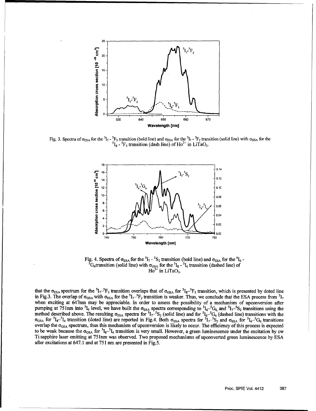

Fig. 3. Spectra of  $\sigma_{ESA}$  for the  ${}^5I_7$  -  ${}^5F_3$  transition (bold line) and  $\sigma_{ESA}$  for the  ${}^5I_7$  -  ${}^5F_2$  transition (solid line) with  $\sigma_{GSA}$  for the  ${}^{5}I_{8}$  -  ${}^{5}F_{5}$  transition (dash line) of Ho<sup>3+</sup> in LiTaO<sub>3</sub>.



Fig. 4. Spectra of  $\sigma_{ESA}$  for the <sup>5</sup>I<sub>7</sub> - <sup>5</sup>S<sub>2</sub> transition (bold line) and  $\sigma_{ESA}$  for the <sup>5</sup>I<sub>6</sub> - <sup>5</sup>G<sub>6</sub> transition (solid line) with  $\sigma_{GSA}$  for the <sup>5</sup>I<sub>8</sub> - <sup>5</sup>I<sub>4</sub> transition (dashed line) of  $Ho^{3+}$  in LiTaO<sub>3</sub>.

that the  $\sigma_{ESA}$  spectrum for the  ${}^5I_{\tau}$ <sup>5</sup>F<sub>3</sub> transition overlaps that of  $\sigma_{GSA}$  for  ${}^5I_{8}$   ${}^5F_{5}$  transition, which is presented by doted line in Fig.3. The overlap of  $\sigma_{\text{GSA}}$  with  $\sigma_{\text{ESA}}$  for the  ${}^5I_7{}^5F_2$  transition is weaker. Thus, we conclude that the ESA process from  ${}^5I_7$ when exciting at 647nm may be appreciable. In order to assess the possibility of a mechanism of upconversion after pumping at  $75$  lnm into  ${}^5I_4$  level, we have built the  $\sigma_{\text{ESA}}$  spectra corresponding to  ${}^5I_6{}^{-5}G_6$  and  ${}^5I_7{}^{-5}S_2$  transitions using the method described above. The resulting  $\sigma_{\text{ESA}}$  spectra for  ${}^{51}\tau^{-5}S_2$  (solid line) and for  ${}^{51}\sigma^{-5}G_6$  (dashed line) transitions with the  $\sigma_{\text{GSA}}$  for  ${}^5I_8$ - ${}^5I_4$  transition (doted line) are reported in Fig.4. Both  $\sigma_{\text{ESA}}$  spectra for  ${}^5I_7$ - ${}^5S_2$  and  $\sigma_{\text{ESA}}$  for  ${}^5I_6$ - ${}^5I_6$  transitions overlap the  $\sigma_{\rm GSA}$  spectrum, thus this mechanism of upconversion is likely to occur. The efficiency of this process is expected to be weak because the  $\sigma_{\rm GSA}$  for  ${}^{5}I_{8}$ - ${}^{5}I_{4}$  transition is very small. However, a green luminescence under the excitation by cw Ti:sapphire laser emitting at 75 nm was observed. Two proposed mechanisms of upconverted green luminescence by ESA after excitations at 647.1 and at 751 nm are presented in Fig.5.